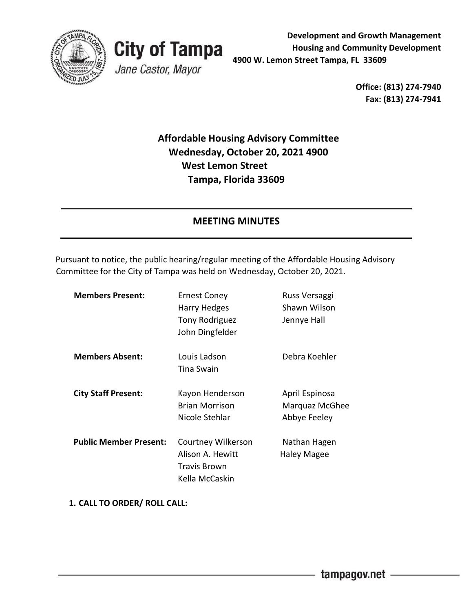



**Development and Growth Management Housing and Community Development 4900 W. Lemon Street Tampa, FL 33609** 

> **Office: (813) 274-7940 Fax: (813) 274-7941**

# **Affordable Housing Advisory Committee Wednesday, October 20, 2021 4900 West Lemon Street Tampa, Florida 33609**

## **MEETING MINUTES**

Pursuant to notice, the public hearing/regular meeting of the Affordable Housing Advisory Committee for the City of Tampa was held on Wednesday, October 20, 2021.

| <b>Members Present:</b>       | <b>Ernest Coney</b>   | Russ Versaggi  |
|-------------------------------|-----------------------|----------------|
|                               | Harry Hedges          | Shawn Wilson   |
|                               | Tony Rodriguez        | Jennye Hall    |
|                               | John Dingfelder       |                |
| <b>Members Absent:</b>        | Louis Ladson          | Debra Koehler  |
|                               | Tina Swain            |                |
| <b>City Staff Present:</b>    | Kayon Henderson       | April Espinosa |
|                               | <b>Brian Morrison</b> | Marquaz McGhee |
|                               | Nicole Stehlar        | Abbye Feeley   |
| <b>Public Member Present:</b> | Courtney Wilkerson    | Nathan Hagen   |
|                               | Alison A. Hewitt      | Haley Magee    |
|                               | Travis Brown          |                |
|                               | Kella McCaskin        |                |

**1. CALL TO ORDER/ ROLL CALL:**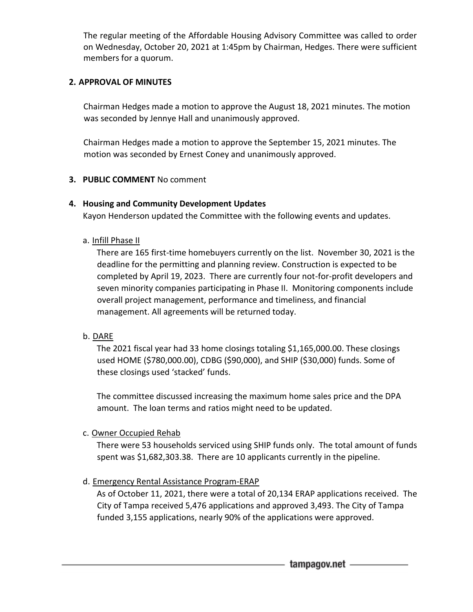The regular meeting of the Affordable Housing Advisory Committee was called to order on Wednesday, October 20, 2021 at 1:45pm by Chairman, Hedges. There were sufficient members for a quorum.

## **2. APPROVAL OF MINUTES**

Chairman Hedges made a motion to approve the August 18, 2021 minutes. The motion was seconded by Jennye Hall and unanimously approved.

Chairman Hedges made a motion to approve the September 15, 2021 minutes. The motion was seconded by Ernest Coney and unanimously approved.

### **3. PUBLIC COMMENT** No comment

## **4. Housing and Community Development Updates**

Kayon Henderson updated the Committee with the following events and updates.

### a. Infill Phase II

There are 165 first-time homebuyers currently on the list. November 30, 2021 is the deadline for the permitting and planning review. Construction is expected to be completed by April 19, 2023. There are currently four not-for-profit developers and seven minority companies participating in Phase II. Monitoring components include overall project management, performance and timeliness, and financial management. All agreements will be returned today.

### b. DARE

The 2021 fiscal year had 33 home closings totaling \$1,165,000.00. These closings used HOME (\$780,000.00), CDBG (\$90,000), and SHIP (\$30,000) funds. Some of these closings used 'stacked' funds.

The committee discussed increasing the maximum home sales price and the DPA amount. The loan terms and ratios might need to be updated.

### c. Owner Occupied Rehab

There were 53 households serviced using SHIP funds only. The total amount of funds spent was \$1,682,303.38. There are 10 applicants currently in the pipeline.

## d. Emergency Rental Assistance Program-ERAP

As of October 11, 2021, there were a total of 20,134 ERAP applications received. The City of Tampa received 5,476 applications and approved 3,493. The City of Tampa funded 3,155 applications, nearly 90% of the applications were approved.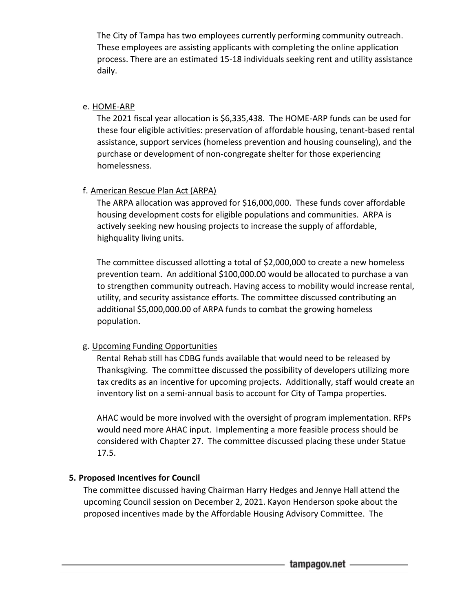The City of Tampa has two employees currently performing community outreach. These employees are assisting applicants with completing the online application process. There are an estimated 15-18 individuals seeking rent and utility assistance daily.

## e. HOME-ARP

The 2021 fiscal year allocation is \$6,335,438. The HOME-ARP funds can be used for these four eligible activities: preservation of affordable housing, tenant-based rental assistance, support services (homeless prevention and housing counseling), and the purchase or development of non-congregate shelter for those experiencing homelessness.

## f. American Rescue Plan Act (ARPA)

The ARPA allocation was approved for \$16,000,000. These funds cover affordable housing development costs for eligible populations and communities. ARPA is actively seeking new housing projects to increase the supply of affordable, highquality living units.

The committee discussed allotting a total of \$2,000,000 to create a new homeless prevention team. An additional \$100,000.00 would be allocated to purchase a van to strengthen community outreach. Having access to mobility would increase rental, utility, and security assistance efforts. The committee discussed contributing an additional \$5,000,000.00 of ARPA funds to combat the growing homeless population.

## g. Upcoming Funding Opportunities

Rental Rehab still has CDBG funds available that would need to be released by Thanksgiving. The committee discussed the possibility of developers utilizing more tax credits as an incentive for upcoming projects. Additionally, staff would create an inventory list on a semi-annual basis to account for City of Tampa properties.

AHAC would be more involved with the oversight of program implementation. RFPs would need more AHAC input. Implementing a more feasible process should be considered with Chapter 27. The committee discussed placing these under Statue 17.5.

## **5. Proposed Incentives for Council**

The committee discussed having Chairman Harry Hedges and Jennye Hall attend the upcoming Council session on December 2, 2021. Kayon Henderson spoke about the proposed incentives made by the Affordable Housing Advisory Committee. The